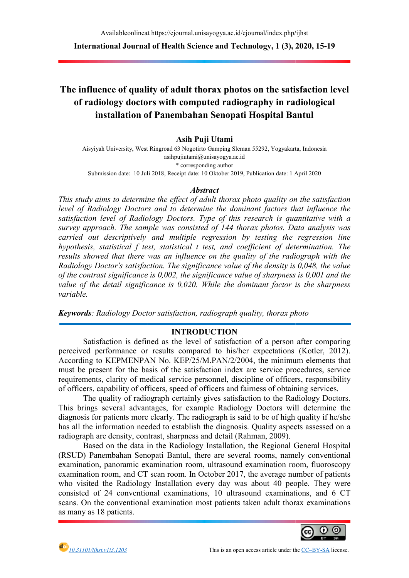Availableonlineat https: vailableonlineat https://ejournal.unisayogya.ac.id/ejournal/index.php/ijhst ejournal.unisayogya.ac.id/ejournal/index.php/ijhst

International Journal of Health Science and Technology, 1 (3), 2020, 15-19

# The influence of quality of adult thorax photos on the satisfaction level<br>of radiology doctors with computed radiography in radiological<br>installation of Panembahan Senopati Hospital Bantul of radiology doctors with computed radiography in radiological installation of Panembahan Senopati Hospital Bantul

# Asih Puji Utami

Aisyiyah University, West Ringroad 63 Aisyiyah University, Nogotirto Gamping Sleman 55292, Yogyakarta, Indonesia asihpujiutami@unisayogya.ac.id \* corresponding author

Submission date: 10 Juli 2018 10 2018, Receipt date: 10 Oktober 2019, Publication date: 1 April 2020

#### Abstract

This study aims to determine the effect of adult thorax photo quality on the satisfaction This study aims to determine the effect of adult thorax photo quality on the satisfaction<br>level of Radiology Doctors and to determine the dominant factors that influence the level of Radiology Doctors and to determine the dominant factors that influence the<br>satisfaction level of Radiology Doctors. Type of this research is quantitative with a survey approach. The sample was consisted of 144 thorax photos. Data analysis was<br>carried out descriptively and multiple regression by testing the regression line carried out descriptively and multiple regression by testing the regression hypothesis, statistical f test, statistical t test, and coefficient of determination. The results showed that there was an influence on the quality of the radiograph with the results showed that there was an influence on the quality of the radiograph with the<br>Radiology Doctor's satisfaction. The significance value of the density is 0,048, the value Radiology Doctor's satisfaction. The significance value of the density is 0,048, the value<br>of the contrast significance is 0,002, the significance value of sharpness is 0,001 and the value of the detail significance is 0,020. While the dominant factor is the sharpness variable.

Keywords: Radiology Doctor satisfaction, radiograph quality, thorax photo

#### INTRODUCTION

Satisfaction is defined as the level of satisfaction of a person after comparing perceived performance or results compared to his/her expectations (Kotler, 2012). According to KEPMENPAN No. KEP/25/M.PAN/2/2004, the minimum elements that must be present for the basis of the satisfaction index are service procedure requirements, clarity of medical service personnel, discipline of officers, responsibility of officers, capability of officers, speed of officers and fairness of obtaining services. ments, clarity of medical service personnel, discipline of officers, responsibility<br>ers, capability of officers, speed of officers and fairness of obtaining services.<br>The quality of radiograph certainly gives satisfaction According to KEPMENPAN No. KEP/25/M.PAN/2/2004, the minimum elements that must be present for the basis of the satisfaction index are service procedures, service requirements, clarity of medical service personnel, discipli procedures, service

This brings several advantages, for example Radiology Doctors will determine the This brings several advantages, for example Radiology Doctors will determine the diagnosis for patients more clearly. The radiograph is said to be of high quality if he/she has all the information needed to establish the diagnosis. Quality aspects assessed on a radiograph are density, contrast, sharpness and detail (Rahman, 2009).

Based on the data in the Radiology Installation, the Regional General Hospital (RSUD) Panembahan Senopati Bantul, there are several rooms, namely conventional examination, panoramic examination room, ultrasound examination room, fluoroscopy examination room, and CT scan room. In October 2017, the average number of patients examination room, and CT scan room. In October 2017, the average number of patients who visited the Radiology Installation every day was about 40 people. They were consisted of 24 conventional examinations, 10 ultrasound examinations, and 6 CT consisted of 24 conventional examinations, 10 ultrasound examinations, and 6 CT scans. On the conventional examination most patients taken adult thorax examinations as many as 18 patients. on the information needed to establish the diagnosis. Quality aspects assessed on a diograph are density, contrast, sharpness and detail (Rahman, 2009).<br>Based on the data in the Radiology Installation, the Regional General



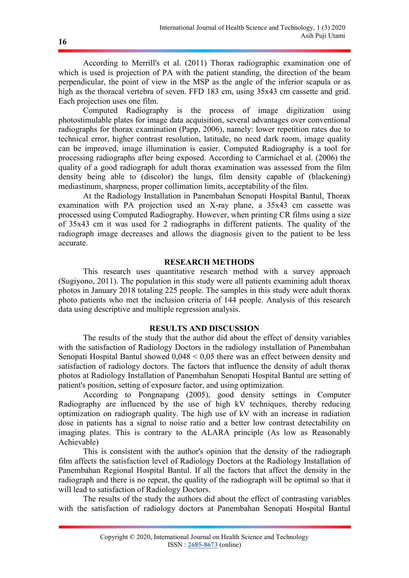According to Merrill's et al. (2011) Thorax radiographic examination one of which is used is projection of PA with the patient standing, the direction of the beam perpendicular, the point of view in the MSP as the angle of the inferior scapula or as high as the thoracal vertebra of seven. FFD 183 cm, using 35x43 cm cassette and grid. Each projection uses one film.

Computed Radiography is the process of image digitization using photostimulable plates for image data acquisition, several advantages over conventional radiographs for thorax examination (Papp, 2006), namely: lower repetition rates due to technical error, higher contrast resolution, latitude, no need dark room, image quality can be improved, image illumination is easier. Computed Radiography is a tool for processing radiographs after being exposed. According to Carmichael et al. (2006) the quality of a good radiograph for adult thorax examination was assessed from the film density being able to (discolor) the lungs, film density capable of (blackening) mediastinum, sharpness, proper collimation limits, acceptability of the film.

At the Radiology Installation in Panembahan Senopati Hospital Bantul, Thorax examination with PA projection used an X-ray plane, a 35x43 cm cassette was processed using Computed Radiography. However, when printing CR films using a size of 35x43 cm it was used for 2 radiographs in different patients. The quality of the radiograph image decreases and allows the diagnosis given to the patient to be less accurate.

### RESEARCH METHODS

This research uses quantitative research method with a survey approach (Sugiyono, 2011). The population in this study were all patients examining adult thorax photos in January 2018 totaling 225 people. The samples in this study were adult thorax photo patients who met the inclusion criteria of 144 people. Analysis of this research data using descriptive and multiple regression analysis.

# RESULTS AND DISCUSSION

The results of the study that the author did about the effect of density variables with the satisfaction of Radiology Doctors in the radiology installation of Panembahan Senopati Hospital Bantul showed 0,048 < 0,05 there was an effect between density and satisfaction of radiology doctors. The factors that influence the density of adult thorax photos at Radiology Installation of Panembahan Senopati Hospital Bantul are setting of patient's position, setting of exposure factor, and using optimization.

According to Pongnapang (2005), good density settings in Computer Radiography are influenced by the use of high kV techniques, thereby reducing optimization on radiograph quality. The high use of kV with an increase in radiation dose in patients has a signal to noise ratio and a better low contrast detectability on imaging plates. This is contrary to the ALARA principle (As low as Reasonably Achievable)

This is consistent with the author's opinion that the density of the radiograph film affects the satisfaction level of Radiology Doctors at the Radiology Installation of Panembahan Regional Hospital Bantul. If all the factors that affect the density in the radiograph and there is no repeat, the quality of the radiograph will be optimal so that it will lead to satisfaction of Radiology Doctors.

The results of the study the authors did about the effect of contrasting variables with the satisfaction of radiology doctors at Panembahan Senopati Hospital Bantul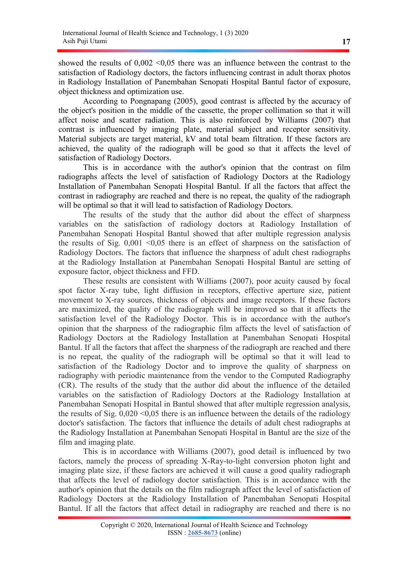showed the results of  $0.002 \le 0.05$  there was an influence between the contrast to the satisfaction of Radiology doctors, the factors influencing contrast in adult thorax photos in Radiology Installation of Panembahan Senopati Hospital Bantul factor of exposure, object thickness and optimization use.

According to Pongnapang (2005), good contrast is affected by the accuracy of the object's position in the middle of the cassette, the proper collimation so that it will affect noise and scatter radiation. This is also reinforced by Williams (2007) that contrast is influenced by imaging plate, material subject and receptor sensitivity. Material subjects are target material, kV and total beam filtration. If these factors are achieved, the quality of the radiograph will be good so that it affects the level of satisfaction of Radiology Doctors.

This is in accordance with the author's opinion that the contrast on film radiographs affects the level of satisfaction of Radiology Doctors at the Radiology Installation of Panembahan Senopati Hospital Bantul. If all the factors that affect the contrast in radiography are reached and there is no repeat, the quality of the radiograph will be optimal so that it will lead to satisfaction of Radiology Doctors.

The results of the study that the author did about the effect of sharpness variables on the satisfaction of radiology doctors at Radiology Installation of Panembahan Senopati Hospital Bantul showed that after multiple regression analysis the results of Sig.  $0,001$  <0,05 there is an effect of sharpness on the satisfaction of Radiology Doctors. The factors that influence the sharpness of adult chest radiographs at the Radiology Installation at Panembahan Senopati Hospital Bantul are setting of exposure factor, object thickness and FFD.

These results are consistent with Williams (2007), poor acuity caused by focal spot factor X-ray tube, light diffusion in receptors, effective aperture size, patient movement to X-ray sources, thickness of objects and image receptors. If these factors are maximized, the quality of the radiograph will be improved so that it affects the satisfaction level of the Radiology Doctor. This is in accordance with the author's opinion that the sharpness of the radiographic film affects the level of satisfaction of Radiology Doctors at the Radiology Installation at Panembahan Senopati Hospital Bantul. If all the factors that affect the sharpness of the radiograph are reached and there is no repeat, the quality of the radiograph will be optimal so that it will lead to satisfaction of the Radiology Doctor and to improve the quality of sharpness on radiography with periodic maintenance from the vendor to the Computed Radiography (CR). The results of the study that the author did about the influence of the detailed variables on the satisfaction of Radiology Doctors at the Radiology Installation at Panembahan Senopati Hospital in Bantul showed that after multiple regression analysis, the results of Sig.  $0.020 \le 0.05$  there is an influence between the details of the radiology doctor's satisfaction. The factors that influence the details of adult chest radiographs at the Radiology Installation at Panembahan Senopati Hospital in Bantul are the size of the film and imaging plate.

This is in accordance with Williams (2007), good detail is influenced by two factors, namely the process of spreading X-Ray-to-light conversion photon light and imaging plate size, if these factors are achieved it will cause a good quality radiograph that affects the level of radiology doctor satisfaction. This is in accordance with the author's opinion that the details on the film radiograph affect the level of satisfaction of Radiology Doctors at the Radiology Installation of Panembahan Senopati Hospital Bantul. If all the factors that affect detail in radiography are reached and there is no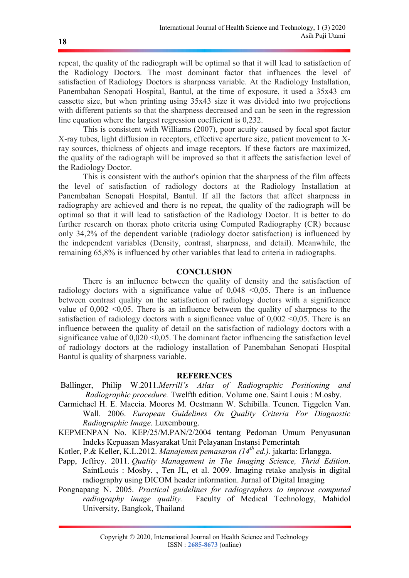repeat, the quality of the radiograph will be optimal so that it will lead to satisfaction of the Radiology Doctors. The most dominant factor that influences the level of satisfaction of Radiology Doctors is sharpness variable. At the Radiology Installation, Panembahan Senopati Hospital, Bantul, at the time of exposure, it used a 35x43 cm cassette size, but when printing using 35x43 size it was divided into two projections with different patients so that the sharpness decreased and can be seen in the regression line equation where the largest regression coefficient is 0,232.

This is consistent with Williams (2007), poor acuity caused by focal spot factor X-ray tubes, light diffusion in receptors, effective aperture size, patient movement to Xray sources, thickness of objects and image receptors. If these factors are maximized, the quality of the radiograph will be improved so that it affects the satisfaction level of the Radiology Doctor.

This is consistent with the author's opinion that the sharpness of the film affects the level of satisfaction of radiology doctors at the Radiology Installation at Panembahan Senopati Hospital, Bantul. If all the factors that affect sharpness in radiography are achieved and there is no repeat, the quality of the radiograph will be optimal so that it will lead to satisfaction of the Radiology Doctor. It is better to do further research on thorax photo criteria using Computed Radiography (CR) because only 34,2% of the dependent variable (radiology doctor satisfaction) is influenced by the independent variables (Density, contrast, sharpness, and detail). Meanwhile, the remaining 65,8% is influenced by other variables that lead to criteria in radiographs.

### **CONCLUSION**

There is an influence between the quality of density and the satisfaction of radiology doctors with a significance value of  $0,048 \le 0,05$ . There is an influence between contrast quality on the satisfaction of radiology doctors with a significance value of  $0.002 \le 0.05$ . There is an influence between the quality of sharpness to the satisfaction of radiology doctors with a significance value of  $0,002$  <0,05. There is an influence between the quality of detail on the satisfaction of radiology doctors with a significance value of  $0.020 \le 0.05$ . The dominant factor influencing the satisfaction level of radiology doctors at the radiology installation of Panembahan Senopati Hospital Bantul is quality of sharpness variable.

#### **REFERENCES**

- Ballinger, Philip W.2011.Merrill's Atlas of Radiographic Positioning and Radiographic procedure. Twelfth edition. Volume one. Saint Louis : M.osby.
- Carmichael H. E. Maccia. Moores M. Oestmann W. Schibilla. Teunen. Tiggelen Van. Wall. 2006. European Guidelines On Quality Criteria For Diagnostic Radiographic Image. Luxembourg.
- KEPMENPAN No. KEP/25/M.PAN/2/2004 tentang Pedoman Umum Penyusunan Indeks Kepuasan Masyarakat Unit Pelayanan Instansi Pemerintah
- Kotler, P.& Keller, K.L.2012. Manajemen pemasaran  $(14^{th}$  ed.). jakarta: Erlangga.
- Papp, Jeffrey. 2011. Quality Management in The Imaging Science, Thrid Edition. SaintLouis : Mosby. , Ten JL, et al. 2009. Imaging retake analysis in digital radiography using DICOM header information. Jurnal of Digital Imaging
- Pongnapang N. 2005. Practical guidelines for radiographers to improve computed radiography image quality. Faculty of Medical Technology, Mahidol University, Bangkok, Thailand